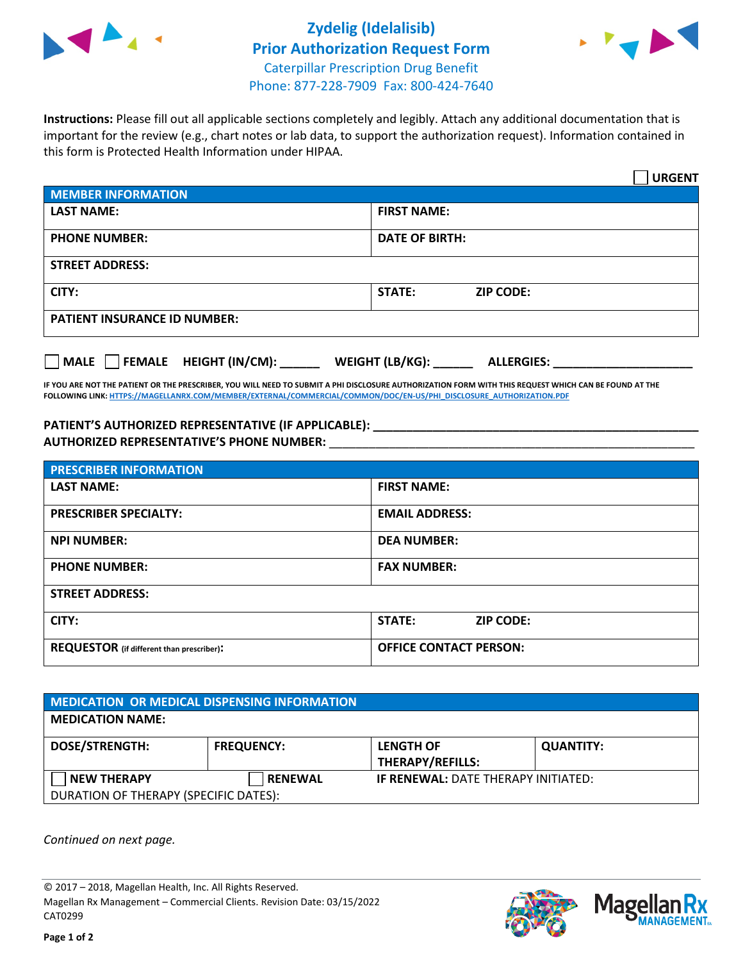

## **Zydelig (Idelalisib) Prior Authorization Request Form** Caterpillar Prescription Drug Benefit Phone: 877-228-7909 Fax: 800-424-7640



**Instructions:** Please fill out all applicable sections completely and legibly. Attach any additional documentation that is important for the review (e.g., chart notes or lab data, to support the authorization request). Information contained in this form is Protected Health Information under HIPAA.

|                                                                                 | <b>URGENT</b>                          |  |  |  |
|---------------------------------------------------------------------------------|----------------------------------------|--|--|--|
| <b>MEMBER INFORMATION</b>                                                       |                                        |  |  |  |
| <b>LAST NAME:</b>                                                               | <b>FIRST NAME:</b>                     |  |  |  |
| <b>PHONE NUMBER:</b>                                                            | <b>DATE OF BIRTH:</b>                  |  |  |  |
| <b>STREET ADDRESS:</b>                                                          |                                        |  |  |  |
| CITY:                                                                           | <b>STATE:</b><br><b>ZIP CODE:</b>      |  |  |  |
| <b>PATIENT INSURANCE ID NUMBER:</b>                                             |                                        |  |  |  |
| $\overline{\phantom{a}}$ MALE $\overline{\phantom{a}}$ FEMALE HEIGHT (IN/CM): _ | WEIGHT (LB/KG): _<br><b>ALLERGIES:</b> |  |  |  |

**IF YOU ARE NOT THE PATIENT OR THE PRESCRIBER, YOU WILL NEED TO SUBMIT A PHI DISCLOSURE AUTHORIZATION FORM WITH THIS REQUEST WHICH CAN BE FOUND AT THE FOLLOWING LINK[: HTTPS://MAGELLANRX.COM/MEMBER/EXTERNAL/COMMERCIAL/COMMON/DOC/EN-US/PHI\\_DISCLOSURE\\_AUTHORIZATION.PDF](https://magellanrx.com/member/external/commercial/common/doc/en-us/PHI_Disclosure_Authorization.pdf)**

**PATIENT'S AUTHORIZED REPRESENTATIVE (IF APPLICABLE): \_\_\_\_\_\_\_\_\_\_\_\_\_\_\_\_\_\_\_\_\_\_\_\_\_\_\_\_\_\_\_\_\_\_\_\_\_\_\_\_\_\_\_\_\_\_\_\_\_ AUTHORIZED REPRESENTATIVE'S PHONE NUMBER:** \_\_\_\_\_\_\_\_\_\_\_\_\_\_\_\_\_\_\_\_\_\_\_\_\_\_\_\_\_\_\_\_\_\_\_\_\_\_\_\_\_\_\_\_\_\_\_\_\_\_\_\_\_\_\_

| <b>PRESCRIBER INFORMATION</b>             |                               |  |  |  |
|-------------------------------------------|-------------------------------|--|--|--|
| <b>LAST NAME:</b>                         | <b>FIRST NAME:</b>            |  |  |  |
| <b>PRESCRIBER SPECIALTY:</b>              | <b>EMAIL ADDRESS:</b>         |  |  |  |
| <b>NPI NUMBER:</b>                        | <b>DEA NUMBER:</b>            |  |  |  |
| <b>PHONE NUMBER:</b>                      | <b>FAX NUMBER:</b>            |  |  |  |
| <b>STREET ADDRESS:</b>                    |                               |  |  |  |
| CITY:                                     | STATE:<br><b>ZIP CODE:</b>    |  |  |  |
| REQUESTOR (if different than prescriber): | <b>OFFICE CONTACT PERSON:</b> |  |  |  |

| <b>MEDICATION OR MEDICAL DISPENSING INFORMATION</b> |                   |                                             |                  |  |  |
|-----------------------------------------------------|-------------------|---------------------------------------------|------------------|--|--|
| <b>MEDICATION NAME:</b>                             |                   |                                             |                  |  |  |
| <b>DOSE/STRENGTH:</b>                               | <b>FREQUENCY:</b> | <b>LENGTH OF</b><br><b>THERAPY/REFILLS:</b> | <b>QUANTITY:</b> |  |  |
| <b>NEW THERAPY</b>                                  | <b>RENEWAL</b>    | <b>IF RENEWAL: DATE THERAPY INITIATED:</b>  |                  |  |  |
| DURATION OF THERAPY (SPECIFIC DATES):               |                   |                                             |                  |  |  |

*Continued on next page.*

© 2017 – 2018, Magellan Health, Inc. All Rights Reserved. Magellan Rx Management – Commercial Clients. Revision Date: 03/15/2022 CAT0299